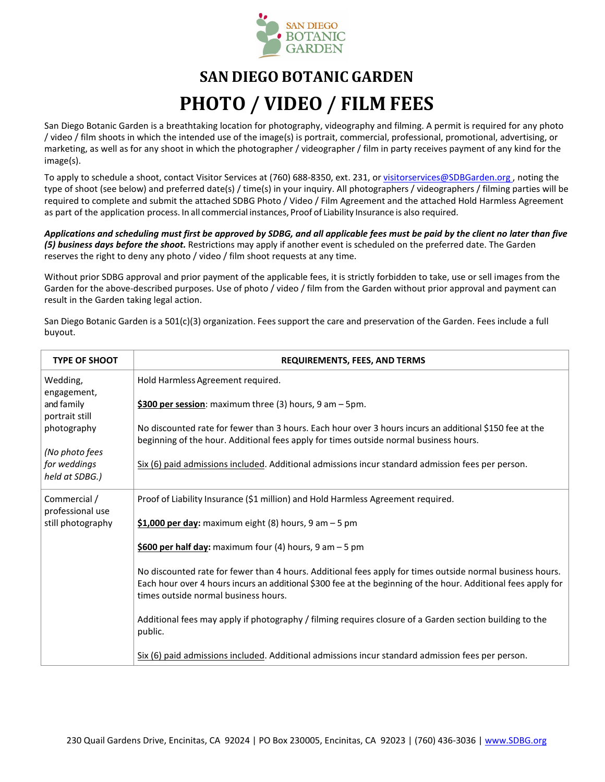

# **SAN DIEGO BOTANIC GARDEN PHOTO / VIDEO / FILM FEES**

San Diego Botanic Garden is a breathtaking location for photography, videography and filming. A permit is required for any photo / video / film shoots in which the intended use of the image(s) is portrait, commercial, professional, promotional, advertising, or marketing, as well as for any shoot in which the photographer / videographer / film in party receives payment of any kind for the image(s).

To apply to schedule a shoot, contact Visitor Services at (760) 688-8350, ext. 231, or visitorservices@SDBGarden.org, noting the type of shoot (see below) and preferred date(s) / time(s) in your inquiry. All photographers / videographers / filming parties will be required to complete and submit the attached SDBG Photo / Video / Film Agreement and the attached Hold Harmless Agreement as part of the application process. In all commercial instances, Proof of Liability Insurance is also required.

*Applications and scheduling must first be approved by SDBG, and all applicable fees must be paid by the client no later than five (5) business days before the shoot.* Restrictions may apply if another event is scheduled on the preferred date. The Garden reserves the right to deny any photo / video / film shoot requests at any time.

Without prior SDBG approval and prior payment of the applicable fees, it is strictly forbidden to take, use or sell images from the Garden for the above-described purposes. Use of photo / video / film from the Garden without prior approval and payment can result in the Garden taking legal action.

San Diego Botanic Garden is a 501(c)(3) organization. Fees support the care and preservation of the Garden. Fees include a full buyout.

| <b>TYPE OF SHOOT</b>                             | <b>REQUIREMENTS, FEES, AND TERMS</b>                                                                                                                                                                                                                               |
|--------------------------------------------------|--------------------------------------------------------------------------------------------------------------------------------------------------------------------------------------------------------------------------------------------------------------------|
| Wedding,<br>engagement,                          | Hold Harmless Agreement required.                                                                                                                                                                                                                                  |
| and family<br>portrait still                     | \$300 per session: maximum three (3) hours, $9$ am $-5$ pm.                                                                                                                                                                                                        |
| photography                                      | No discounted rate for fewer than 3 hours. Each hour over 3 hours incurs an additional \$150 fee at the<br>beginning of the hour. Additional fees apply for times outside normal business hours.                                                                   |
| (No photo fees<br>for weddings<br>held at SDBG.) | Six (6) paid admissions included. Additional admissions incur standard admission fees per person.                                                                                                                                                                  |
| Commercial /                                     | Proof of Liability Insurance (\$1 million) and Hold Harmless Agreement required.                                                                                                                                                                                   |
| professional use<br>still photography            | $$1,000$ per day: maximum eight (8) hours, 9 am - 5 pm                                                                                                                                                                                                             |
|                                                  | \$600 per half day: maximum four (4) hours, 9 am $-5$ pm                                                                                                                                                                                                           |
|                                                  | No discounted rate for fewer than 4 hours. Additional fees apply for times outside normal business hours.<br>Each hour over 4 hours incurs an additional \$300 fee at the beginning of the hour. Additional fees apply for<br>times outside normal business hours. |
|                                                  | Additional fees may apply if photography / filming requires closure of a Garden section building to the<br>public.                                                                                                                                                 |
|                                                  | Six (6) paid admissions included. Additional admissions incur standard admission fees per person.                                                                                                                                                                  |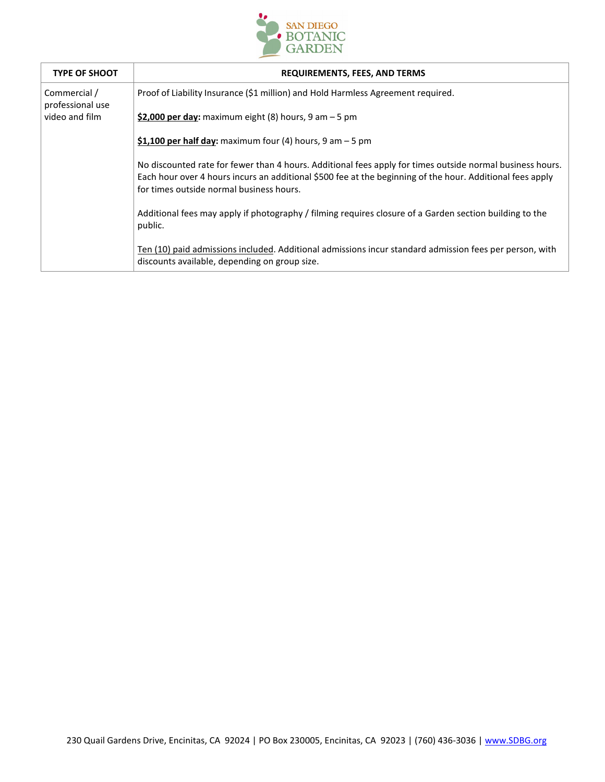

| <b>TYPE OF SHOOT</b>             | <b>REQUIREMENTS, FEES, AND TERMS</b>                                                                                                                                                                                                                               |
|----------------------------------|--------------------------------------------------------------------------------------------------------------------------------------------------------------------------------------------------------------------------------------------------------------------|
| Commercial /<br>professional use | Proof of Liability Insurance (\$1 million) and Hold Harmless Agreement required.                                                                                                                                                                                   |
| video and film                   | \$2,000 per day: maximum eight $(8)$ hours, 9 am $-5$ pm                                                                                                                                                                                                           |
|                                  | \$1,100 per half day: maximum four (4) hours, $9 \text{ am} - 5 \text{ pm}$                                                                                                                                                                                        |
|                                  | No discounted rate for fewer than 4 hours. Additional fees apply for times outside normal business hours.<br>Each hour over 4 hours incurs an additional \$500 fee at the beginning of the hour. Additional fees apply<br>for times outside normal business hours. |
|                                  | Additional fees may apply if photography / filming requires closure of a Garden section building to the<br>public.                                                                                                                                                 |
|                                  | Ten (10) paid admissions included. Additional admissions incur standard admission fees per person, with<br>discounts available, depending on group size.                                                                                                           |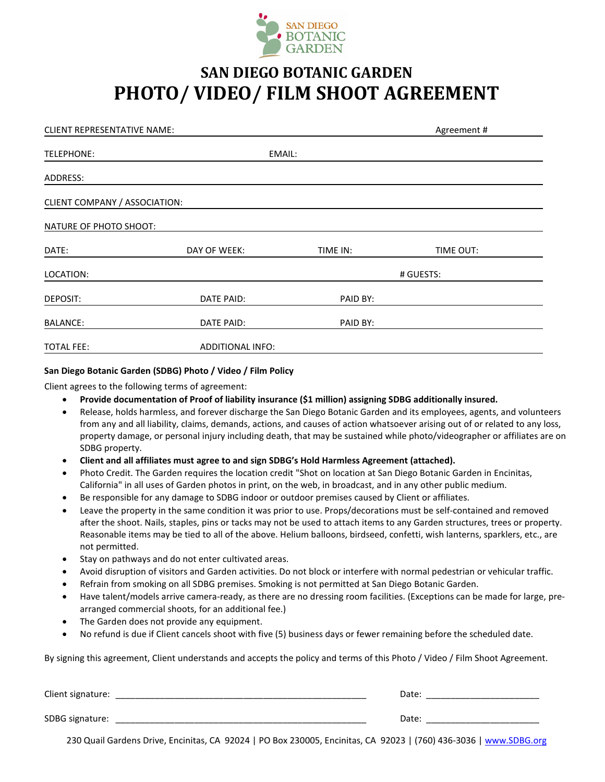

### **SAN DIEGO BOTANIC GARDEN PHOTO/ VIDEO/ FILM SHOOT AGREEMENT**

| <b>CLIENT REPRESENTATIVE NAME:</b> |                   |        |          | Agreement# |
|------------------------------------|-------------------|--------|----------|------------|
| TELEPHONE:                         |                   | EMAIL: |          |            |
| ADDRESS:                           |                   |        |          |            |
| CLIENT COMPANY / ASSOCIATION:      |                   |        |          |            |
| NATURE OF PHOTO SHOOT:             |                   |        |          |            |
| DATE:                              | DAY OF WEEK:      |        | TIME IN: | TIME OUT:  |
| LOCATION:                          |                   |        |          | # GUESTS:  |
| DEPOSIT:                           | DATE PAID:        |        | PAID BY: |            |
| <b>BALANCE:</b>                    | <b>DATE PAID:</b> |        | PAID BY: |            |
| <b>TOTAL FEE:</b>                  | ADDITIONAL INFO:  |        |          |            |

#### **San Diego Botanic Garden (SDBG) Photo / Video / Film Policy**

Client agrees to the following terms of agreement:

- **Provide documentation of Proof of liability insurance (\$1 million) assigning SDBG additionally insured.**
- Release, holds harmless, and forever discharge the San Diego Botanic Garden and its employees, agents, and volunteers from any and all liability, claims, demands, actions, and causes of action whatsoever arising out of or related to any loss, property damage, or personal injury including death, that may be sustained while photo/videographer or affiliates are on SDBG property.
- **Client and all affiliates must agree to and sign SDBG's Hold Harmless Agreement (attached).**
- Photo Credit. The Garden requires the location credit "Shot on location at San Diego Botanic Garden in Encinitas, California" in all uses of Garden photos in print, on the web, in broadcast, and in any other public medium.
- Be responsible for any damage to SDBG indoor or outdoor premises caused by Client or affiliates.
- Leave the property in the same condition it was prior to use. Props/decorations must be self-contained and removed after the shoot. Nails, staples, pins or tacks may not be used to attach items to any Garden structures, trees or property. Reasonable items may be tied to all of the above. Helium balloons, birdseed, confetti, wish lanterns, sparklers, etc., are not permitted.
- Stay on pathways and do not enter cultivated areas.
- Avoid disruption of visitors and Garden activities. Do not block or interfere with normal pedestrian or vehicular traffic.
- Refrain from smoking on all SDBG premises. Smoking is not permitted at San Diego Botanic Garden.
- Have talent/models arrive camera-ready, as there are no dressing room facilities. (Exceptions can be made for large, prearranged commercial shoots, for an additional fee.)
- The Garden does not provide any equipment.
- No refund is due if Client cancels shoot with five (5) business days or fewer remaining before the scheduled date.

By signing this agreement, Client understands and accepts the policy and terms of this Photo / Video / Film Shoot Agreement.

| Client signature: | Date: |
|-------------------|-------|
| SDBG signature:   | Date: |

230 Quail Gardens Drive, Encinitas, CA 92024 | PO Box 230005, Encinitas, CA 92023 | (760) 436-3036 | [www.SDBG.org](http://www.sdbg.org/)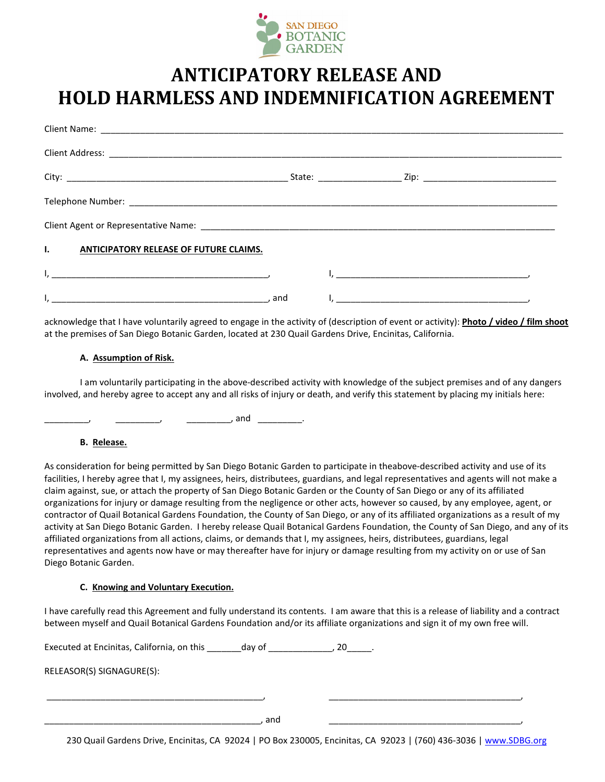

## **ANTICIPATORY RELEASE AND HOLD HARMLESS AND INDEMNIFICATION AGREEMENT**

| $\mathbf{L}$<br><b>ANTICIPATORY RELEASE OF FUTURE CLAIMS.</b> |                                                                                                                                                                                                                                 |
|---------------------------------------------------------------|---------------------------------------------------------------------------------------------------------------------------------------------------------------------------------------------------------------------------------|
|                                                               | ни производство в последните последните подразни последните село в последните село в последните село в село в<br>В село в село в село в село в село в село в село в село в село в село в село в село в село в село в село в сел |
|                                                               |                                                                                                                                                                                                                                 |

acknowledge that I have voluntarily agreed to engage in the activity of (description of event or activity): **Photo / video / film shoot** at the premises of San Diego Botanic Garden, located at 230 Quail Gardens Drive, Encinitas, California.

#### **A. Assumption of Risk.**

I am voluntarily participating in the above-described activity with knowledge of the subject premises and of any dangers involved, and hereby agree to accept any and all risks of injury or death, and verify this statement by placing my initials here:

\_\_\_\_\_\_\_\_\_\_\_\_\_, and \_\_\_\_\_\_\_\_\_\_\_.

#### **B. Release.**

As consideration for being permitted by San Diego Botanic Garden to participate in theabove-described activity and use of its facilities, I hereby agree that I, my assignees, heirs, distributees, guardians, and legal representatives and agents will not make a claim against, sue, or attach the property of San Diego Botanic Garden or the County of San Diego or any of its affiliated organizations for injury or damage resulting from the negligence or other acts, however so caused, by any employee, agent, or contractor of Quail Botanical Gardens Foundation, the County of San Diego, or any of its affiliated organizations as a result of my activity at San Diego Botanic Garden. I hereby release Quail Botanical Gardens Foundation, the County of San Diego, and any of its affiliated organizations from all actions, claims, or demands that I, my assignees, heirs, distributees, guardians, legal representatives and agents now have or may thereafter have for injury or damage resulting from my activity on or use of San Diego Botanic Garden.

#### **C. Knowing and Voluntary Execution.**

I have carefully read this Agreement and fully understand its contents. I am aware that this is a release of liability and a contract between myself and Quail Botanical Gardens Foundation and/or its affiliate organizations and sign it of my own free will.

Executed at Encinitas, California, on this \_\_\_\_\_\_\_day of \_\_\_\_\_\_\_\_\_\_\_\_\_, 20\_\_\_\_\_.

RELEASOR(S) SIGNAGURE(S):

\_\_\_\_\_\_\_\_\_\_\_\_\_\_\_\_\_\_\_\_\_\_\_\_\_\_\_\_\_\_\_\_\_\_\_\_\_\_\_\_\_\_\_\_, and \_\_\_\_\_\_\_\_\_\_\_\_\_\_\_\_\_\_\_\_\_\_\_\_\_\_\_\_\_\_\_\_\_\_\_\_\_\_\_,

\_\_\_\_\_\_\_\_\_\_\_\_\_\_\_\_\_\_\_\_\_\_\_\_\_\_\_\_\_\_\_\_\_\_\_\_\_\_\_\_\_\_\_\_, \_\_\_\_\_\_\_\_\_\_\_\_\_\_\_\_\_\_\_\_\_\_\_\_\_\_\_\_\_\_\_\_\_\_\_\_\_\_\_,

230 Quail Gardens Drive, Encinitas, CA 92024 | PO Box 230005, Encinitas, CA 92023 | (760) 436-3036 | [www.SDBG.org](http://www.sdbg.org/)